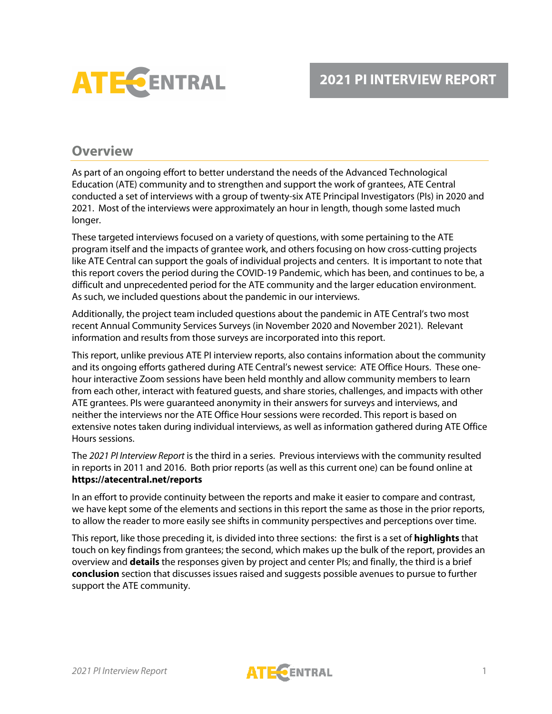

## **Overview**

As part of an ongoing effort to better understand the needs of the Advanced Technological Education (ATE) community and to strengthen and support the work of grantees, ATE Central conducted a set of interviews with a group of twenty-six ATE Principal Investigators (PIs) in 2020 and 2021. Most of the interviews were approximately an hour in length, though some lasted much longer.

These targeted interviews focused on a variety of questions, with some pertaining to the ATE program itself and the impacts of grantee work, and others focusing on how cross-cutting projects like ATE Central can support the goals of individual projects and centers. It is important to note that this report covers the period during the COVID-19 Pandemic, which has been, and continues to be, a difficult and unprecedented period for the ATE community and the larger education environment. As such, we included questions about the pandemic in our interviews.

Additionally, the project team included questions about the pandemic in ATE Central's two most recent Annual Community Services Surveys (in November 2020 and November 2021). Relevant information and results from those surveys are incorporated into this report.

This report, unlike previous ATE PI interview reports, also contains information about the community and its ongoing efforts gathered during ATE Central's newest service: ATE Office Hours. These onehour interactive Zoom sessions have been held monthly and allow community members to learn from each other, interact with featured guests, and share stories, challenges, and impacts with other ATE grantees. PIs were guaranteed anonymity in their answers for surveys and interviews, and neither the interviews nor the ATE Office Hour sessions were recorded. This report is based on extensive notes taken during individual interviews, as well as information gathered during ATE Office Hours sessions.

The *2021 PI Interview Report* is the third in a series. Previous interviews with the community resulted in reports in 2011 and 2016. Both prior reports (as well as this current one) can be found online at **https://atecentral.net/reports**

In an effort to provide continuity between the reports and make it easier to compare and contrast, we have kept some of the elements and sections in this report the same as those in the prior reports, to allow the reader to more easily see shifts in community perspectives and perceptions over time.

This report, like those preceding it, is divided into three sections: the first is a set of **highlights** that touch on key findings from grantees; the second, which makes up the bulk of the report, provides an overview and **details** the responses given by project and center PIs; and finally, the third is a brief **conclusion** section that discusses issues raised and suggests possible avenues to pursue to further support the ATE community.

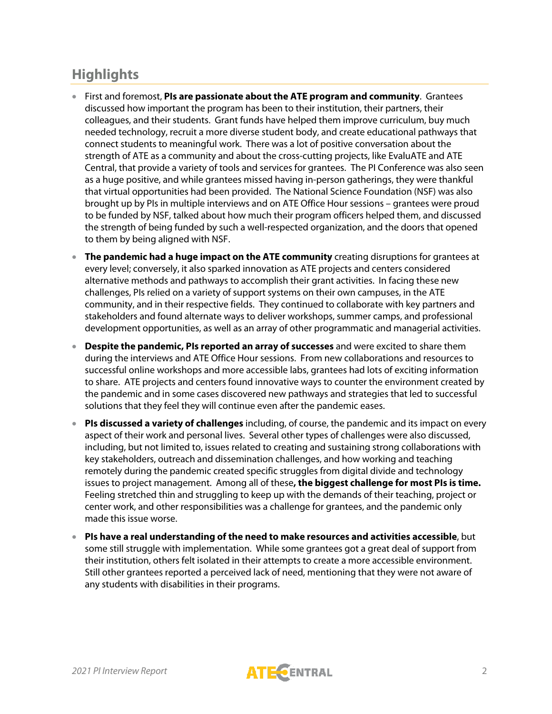# **Highlights**

- First and foremost, **PIs are passionate about the ATE program and community**. Grantees discussed how important the program has been to their institution, their partners, their colleagues, and their students. Grant funds have helped them improve curriculum, buy much needed technology, recruit a more diverse student body, and create educational pathways that connect students to meaningful work. There was a lot of positive conversation about the strength of ATE as a community and about the cross-cutting projects, like EvaluATE and ATE Central, that provide a variety of tools and services for grantees. The PI Conference was also seen as a huge positive, and while grantees missed having in-person gatherings, they were thankful that virtual opportunities had been provided. The National Science Foundation (NSF) was also brought up by PIs in multiple interviews and on ATE Office Hour sessions – grantees were proud to be funded by NSF, talked about how much their program officers helped them, and discussed the strength of being funded by such a well-respected organization, and the doors that opened to them by being aligned with NSF.
- **The pandemic had a huge impact on the ATE community** creating disruptions for grantees at every level; conversely, it also sparked innovation as ATE projects and centers considered alternative methods and pathways to accomplish their grant activities. In facing these new challenges, PIs relied on a variety of support systems on their own campuses, in the ATE community, and in their respective fields. They continued to collaborate with key partners and stakeholders and found alternate ways to deliver workshops, summer camps, and professional development opportunities, as well as an array of other programmatic and managerial activities.
- **Despite the pandemic, PIs reported an array of successes** and were excited to share them during the interviews and ATE Office Hour sessions. From new collaborations and resources to successful online workshops and more accessible labs, grantees had lots of exciting information to share. ATE projects and centers found innovative ways to counter the environment created by the pandemic and in some cases discovered new pathways and strategies that led to successful solutions that they feel they will continue even after the pandemic eases.
- **PIs discussed a variety of challenges** including, of course, the pandemic and its impact on every aspect of their work and personal lives. Several other types of challenges were also discussed, including, but not limited to, issues related to creating and sustaining strong collaborations with key stakeholders, outreach and dissemination challenges, and how working and teaching remotely during the pandemic created specific struggles from digital divide and technology issues to project management. Among all of these**, the biggest challenge for most PIs is time.**  Feeling stretched thin and struggling to keep up with the demands of their teaching, project or center work, and other responsibilities was a challenge for grantees, and the pandemic only made this issue worse.
- **PIs have a real understanding of the need to make resources and activities accessible**, but some still struggle with implementation. While some grantees got a great deal of support from their institution, others felt isolated in their attempts to create a more accessible environment. Still other grantees reported a perceived lack of need, mentioning that they were not aware of any students with disabilities in their programs.

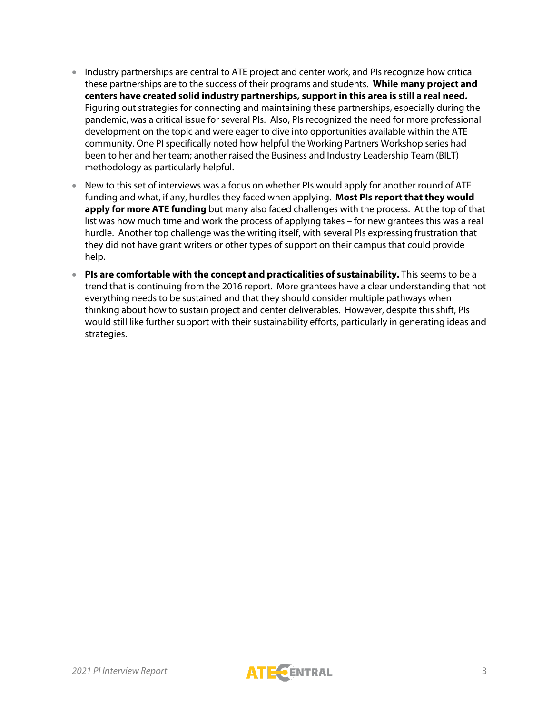- Industry partnerships are central to ATE project and center work, and PIs recognize how critical these partnerships are to the success of their programs and students. **While many project and centers have created solid industry partnerships, support in this area is still a real need.**  Figuring out strategies for connecting and maintaining these partnerships, especially during the pandemic, was a critical issue for several PIs. Also, PIs recognized the need for more professional development on the topic and were eager to dive into opportunities available within the ATE community. One PI specifically noted how helpful the Working Partners Workshop series had been to her and her team; another raised the Business and Industry Leadership Team (BILT) methodology as particularly helpful.
- New to this set of interviews was a focus on whether PIs would apply for another round of ATE funding and what, if any, hurdles they faced when applying. **Most PIs report that they would apply for more ATE funding** but many also faced challenges with the process. At the top of that list was how much time and work the process of applying takes – for new grantees this was a real hurdle. Another top challenge was the writing itself, with several PIs expressing frustration that they did not have grant writers or other types of support on their campus that could provide help.
- **PIs are comfortable with the concept and practicalities of sustainability.** This seems to be a trend that is continuing from the 2016 report. More grantees have a clear understanding that not everything needs to be sustained and that they should consider multiple pathways when thinking about how to sustain project and center deliverables. However, despite this shift, PIs would still like further support with their sustainability efforts, particularly in generating ideas and strategies.

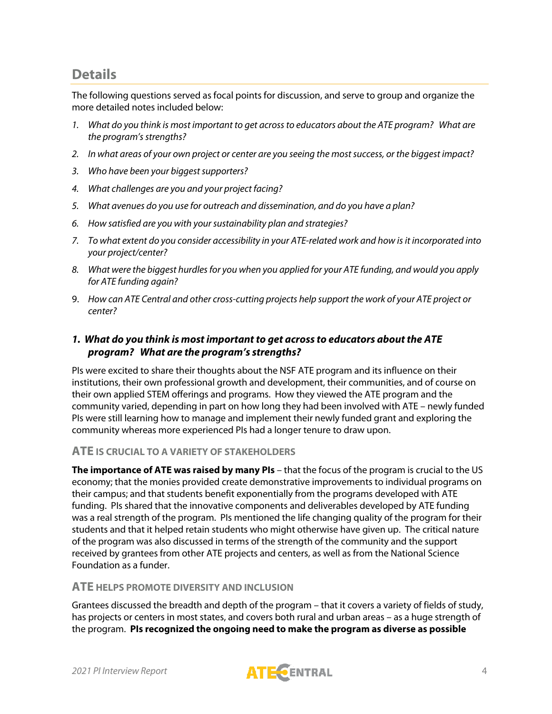## **Details**

The following questions served as focal points for discussion, and serve to group and organize the more detailed notes included below:

- *1. What do you think is most important to get across to educators about the ATE program? What are the program's strengths?*
- *2. In what areas of your own project or center are you seeing the most success, or the biggest impact?*
- *3. Who have been your biggest supporters?*
- *4. What challenges are you and your project facing?*
- *5. What avenues do you use for outreach and dissemination, and do you have a plan?*
- *6. How satisfied are you with your sustainability plan and strategies?*
- *7. To what extent do you consider accessibility in your ATE-related work and how is it incorporated into your project/center?*
- *8. What were the biggest hurdles for you when you applied for your ATE funding, and would you apply for ATE funding again?*
- 9. *How can ATE Central and other cross-cutting projects help support the work of your ATE project or center?*

## *1. What do you think is most important to get across to educators about the ATE program? What are the program's strengths?*

PIs were excited to share their thoughts about the NSF ATE program and its influence on their institutions, their own professional growth and development, their communities, and of course on their own applied STEM offerings and programs. How they viewed the ATE program and the community varied, depending in part on how long they had been involved with ATE – newly funded PIs were still learning how to manage and implement their newly funded grant and exploring the community whereas more experienced PIs had a longer tenure to draw upon.

#### **ATE IS CRUCIAL TO A VARIETY OF STAKEHOLDERS**

**The importance of ATE was raised by many PIs** – that the focus of the program is crucial to the US economy; that the monies provided create demonstrative improvements to individual programs on their campus; and that students benefit exponentially from the programs developed with ATE funding. PIs shared that the innovative components and deliverables developed by ATE funding was a real strength of the program. PIs mentioned the life changing quality of the program for their students and that it helped retain students who might otherwise have given up. The critical nature of the program was also discussed in terms of the strength of the community and the support received by grantees from other ATE projects and centers, as well as from the National Science Foundation as a funder.

#### **ATE HELPS PROMOTE DIVERSITY AND INCLUSION**

Grantees discussed the breadth and depth of the program – that it covers a variety of fields of study, has projects or centers in most states, and covers both rural and urban areas – as a huge strength of the program. **PIs recognized the ongoing need to make the program as diverse as possible** 

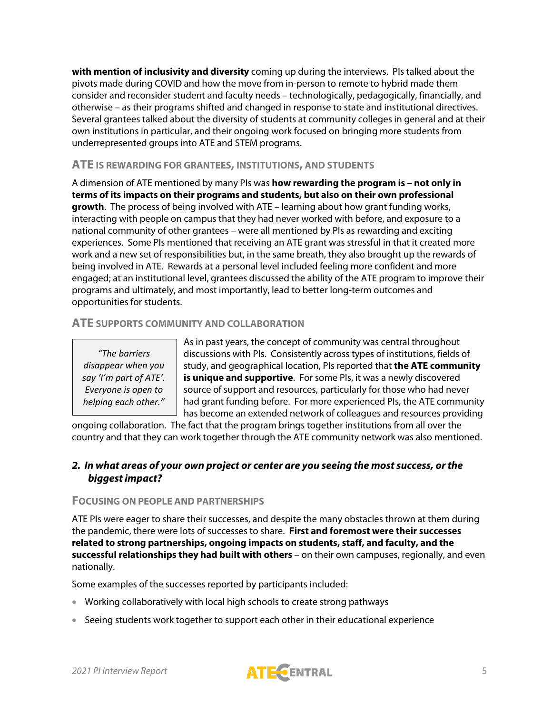**with mention of inclusivity and diversity** coming up during the interviews. PIs talked about the pivots made during COVID and how the move from in-person to remote to hybrid made them consider and reconsider student and faculty needs – technologically, pedagogically, financially, and otherwise – as their programs shifted and changed in response to state and institutional directives. Several grantees talked about the diversity of students at community colleges in general and at their own institutions in particular, and their ongoing work focused on bringing more students from underrepresented groups into ATE and STEM programs.

#### **ATE IS REWARDING FOR GRANTEES, INSTITUTIONS, AND STUDENTS**

A dimension of ATE mentioned by many PIs was **how rewarding the program is – not only in terms of its impacts on their programs and students, but also on their own professional growth**. The process of being involved with ATE – learning about how grant funding works, interacting with people on campus that they had never worked with before, and exposure to a national community of other grantees – were all mentioned by PIs as rewarding and exciting experiences. Some PIs mentioned that receiving an ATE grant was stressful in that it created more work and a new set of responsibilities but, in the same breath, they also brought up the rewards of being involved in ATE. Rewards at a personal level included feeling more confident and more engaged; at an institutional level, grantees discussed the ability of the ATE program to improve their programs and ultimately, and most importantly, lead to better long-term outcomes and opportunities for students.

## **ATE SUPPORTS COMMUNITY AND COLLABORATION**

*"The barriers disappear when you say 'I'm part of ATE'. Everyone is open to helping each other."*

As in past years, the concept of community was central throughout discussions with PIs. Consistently across types of institutions, fields of study, and geographical location, PIs reported that **the ATE community is unique and supportive**. For some PIs, it was a newly discovered source of support and resources, particularly for those who had never had grant funding before. For more experienced PIs, the ATE community has become an extended network of colleagues and resources providing

ongoing collaboration. The fact that the program brings together institutions from all over the country and that they can work together through the ATE community network was also mentioned.

## *2. In what areas of your own project or center are you seeing the most success, orthe biggest impact?*

#### **FOCUSING ON PEOPLE AND PARTNERSHIPS**

ATE PIs were eager to share their successes, and despite the many obstacles thrown at them during the pandemic, there were lots of successes to share. **First and foremost were their successes related to strong partnerships, ongoing impacts on students, staff, and faculty, and the successful relationships they had built with others** – on their own campuses, regionally, and even nationally.

Some examples of the successes reported by participants included:

- Working collaboratively with local high schools to create strong pathways
- Seeing students work together to support each other in their educational experience

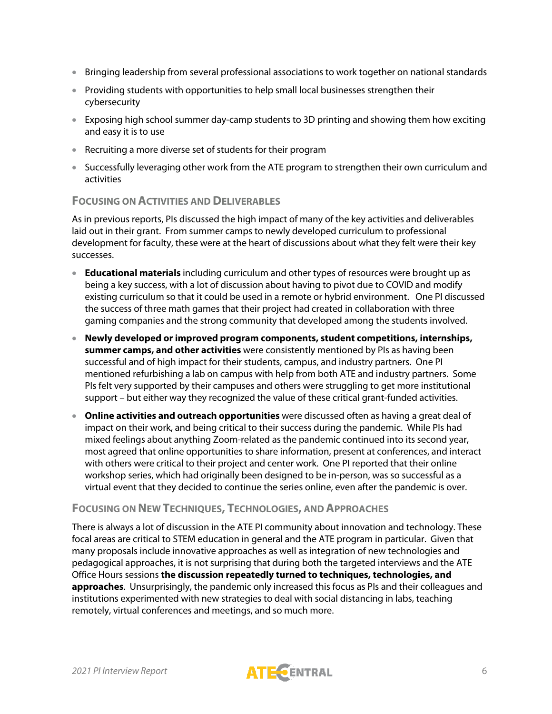- Bringing leadership from several professional associations to work together on national standards
- Providing students with opportunities to help small local businesses strengthen their cybersecurity
- Exposing high school summer day-camp students to 3D printing and showing them how exciting and easy it is to use
- Recruiting a more diverse set of students for their program
- Successfully leveraging other work from the ATE program to strengthen their own curriculum and activities

#### **FOCUSING ON ACTIVITIES AND DELIVERABLES**

As in previous reports, PIs discussed the high impact of many of the key activities and deliverables laid out in their grant. From summer camps to newly developed curriculum to professional development for faculty, these were at the heart of discussions about what they felt were their key successes.

- **Educational materials** including curriculum and other types of resources were brought up as being a key success, with a lot of discussion about having to pivot due to COVID and modify existing curriculum so that it could be used in a remote or hybrid environment. One PI discussed the success of three math games that their project had created in collaboration with three gaming companies and the strong community that developed among the students involved.
- **Newly developed or improved program components, student competitions, internships, summer camps, and other activities** were consistently mentioned by PIs as having been successful and of high impact for their students, campus, and industry partners. One PI mentioned refurbishing a lab on campus with help from both ATE and industry partners. Some PIs felt very supported by their campuses and others were struggling to get more institutional support – but either way they recognized the value of these critical grant-funded activities.
- **Online activities and outreach opportunities** were discussed often as having a great deal of impact on their work, and being critical to their success during the pandemic. While PIs had mixed feelings about anything Zoom-related as the pandemic continued into its second year, most agreed that online opportunities to share information, present at conferences, and interact with others were critical to their project and center work. One PI reported that their online workshop series, which had originally been designed to be in-person, was so successful as a virtual event that they decided to continue the series online, even after the pandemic is over.

## **FOCUSING ON NEW TECHNIQUES, TECHNOLOGIES, AND APPROACHES**

There is always a lot of discussion in the ATE PI community about innovation and technology. These focal areas are critical to STEM education in general and the ATE program in particular. Given that many proposals include innovative approaches as well as integration of new technologies and pedagogical approaches, it is not surprising that during both the targeted interviews and the ATE Office Hours sessions **the discussion repeatedly turned to techniques, technologies, and approaches**. Unsurprisingly, the pandemic only increased this focus as PIs and their colleagues and institutions experimented with new strategies to deal with social distancing in labs, teaching remotely, virtual conferences and meetings, and so much more.

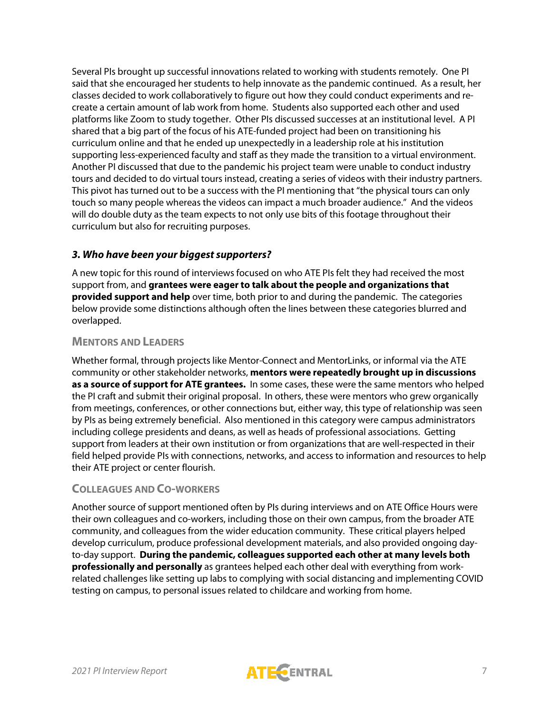Several PIs brought up successful innovations related to working with students remotely. One PI said that she encouraged her students to help innovate as the pandemic continued. As a result, her classes decided to work collaboratively to figure out how they could conduct experiments and recreate a certain amount of lab work from home. Students also supported each other and used platforms like Zoom to study together. Other PIs discussed successes at an institutional level. A PI shared that a big part of the focus of his ATE-funded project had been on transitioning his curriculum online and that he ended up unexpectedly in a leadership role at his institution supporting less-experienced faculty and staff as they made the transition to a virtual environment. Another PI discussed that due to the pandemic his project team were unable to conduct industry tours and decided to do virtual tours instead, creating a series of videos with their industry partners. This pivot has turned out to be a success with the PI mentioning that "the physical tours can only touch so many people whereas the videos can impact a much broader audience." And the videos will do double duty as the team expects to not only use bits of this footage throughout their curriculum but also for recruiting purposes.

## *3. Who have been your biggest supporters?*

A new topic for this round of interviews focused on who ATE PIs felt they had received the most support from, and **grantees were eager to talk about the people and organizations that provided support and help** over time, both prior to and during the pandemic. The categories below provide some distinctions although often the lines between these categories blurred and overlapped.

## **MENTORS AND LEADERS**

Whether formal, through projects like Mentor-Connect and MentorLinks, or informal via the ATE community or other stakeholder networks, **mentors were repeatedly brought up in discussions as a source of support for ATE grantees.** In some cases, these were the same mentors who helped the PI craft and submit their original proposal. In others, these were mentors who grew organically from meetings, conferences, or other connections but, either way, this type of relationship was seen by PIs as being extremely beneficial. Also mentioned in this category were campus administrators including college presidents and deans, as well as heads of professional associations. Getting support from leaders at their own institution or from organizations that are well-respected in their field helped provide PIs with connections, networks, and access to information and resources to help their ATE project or center flourish.

## **COLLEAGUES AND CO-WORKERS**

Another source of support mentioned often by PIs during interviews and on ATE Office Hours were their own colleagues and co-workers, including those on their own campus, from the broader ATE community, and colleagues from the wider education community. These critical players helped develop curriculum, produce professional development materials, and also provided ongoing dayto-day support. **During the pandemic, colleagues supported each other at many levels both professionally and personally** as grantees helped each other deal with everything from workrelated challenges like setting up labs to complying with social distancing and implementing COVID testing on campus, to personal issues related to childcare and working from home.

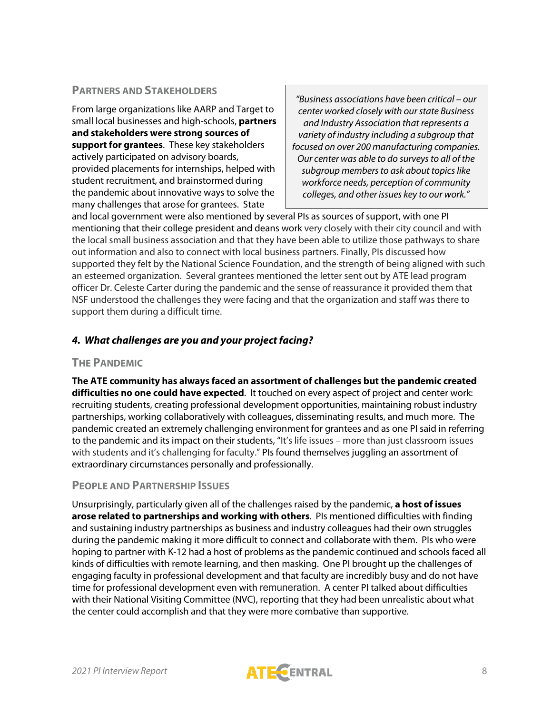## **PARTNERS AND STAKEHOLDERS**

From large organizations like AARP and Target to small local businesses and high-schools, **partners and stakeholders were strong sources of support for grantees**. These key stakeholders actively participated on advisory boards, provided placements for internships, helped with student recruitment, and brainstormed during the pandemic about innovative ways to solve the many challenges that arose for grantees. State

*"Business associations have been critical – our center worked closely with our state Business and Industry Association that represents a variety of industry including a subgroup that focused on over 200 manufacturing companies. Our center was able to do surveys to all of the subgroup members to ask about topics like workforce needs, perception of community colleges, and other issues key to our work."*

and local government were also mentioned by several PIs as sources of support, with one PI mentioning that their college president and deans work very closely with their city council and with the local small business association and that they have been able to utilize those pathways to share out information and also to connect with local business partners. Finally, PIs discussed how supported they felt by the National Science Foundation, and the strength of being aligned with such an esteemed organization. Several grantees mentioned the letter sent out by ATE lead program officer Dr. Celeste Carter during the pandemic and the sense of reassurance it provided them that NSF understood the challenges they were facing and that the organization and staff was there to support them during a difficult time.

## *4. What challenges are you and your project facing?*

#### **THE PANDEMIC**

**The ATE community has always faced an assortment of challenges but the pandemic created difficulties no one could have expected**. It touched on every aspect of project and center work: recruiting students, creating professional development opportunities, maintaining robust industry partnerships, working collaboratively with colleagues, disseminating results, and much more. The pandemic created an extremely challenging environment for grantees and as one PI said in referring to the pandemic and its impact on their students, "It's life issues – more than just classroom issues with students and it's challenging for faculty." PIs found themselves juggling an assortment of extraordinary circumstances personally and professionally.

## **PEOPLE AND PARTNERSHIP ISSUES**

Unsurprisingly, particularly given all of the challenges raised by the pandemic, **a host of issues arose related to partnerships and working with others**. PIs mentioned difficulties with finding and sustaining industry partnerships as business and industry colleagues had their own struggles during the pandemic making it more difficult to connect and collaborate with them. PIs who were hoping to partner with K-12 had a host of problems as the pandemic continued and schools faced all kinds of difficulties with remote learning, and then masking. One PI brought up the challenges of engaging faculty in professional development and that faculty are incredibly busy and do not have time for professional development even with remuneration. A center PI talked about difficulties with their National Visiting Committee (NVC), reporting that they had been unrealistic about what the center could accomplish and that they were more combative than supportive.

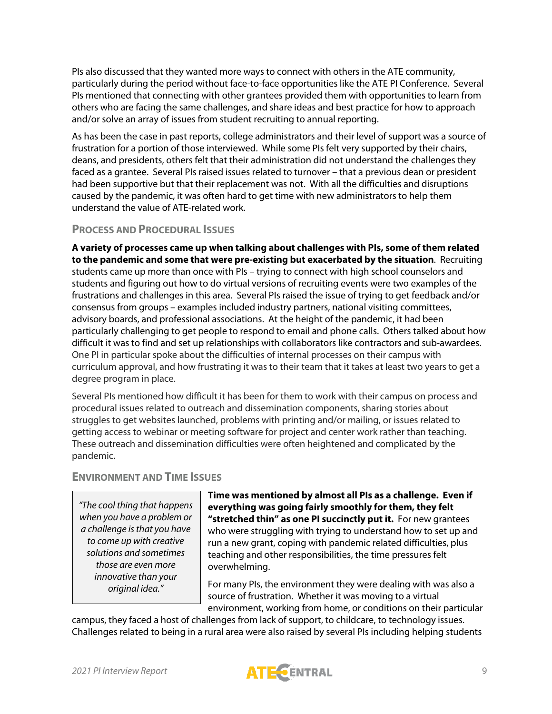PIs also discussed that they wanted more ways to connect with others in the ATE community, particularly during the period without face-to-face opportunities like the ATE PI Conference. Several PIs mentioned that connecting with other grantees provided them with opportunities to learn from others who are facing the same challenges, and share ideas and best practice for how to approach and/or solve an array of issues from student recruiting to annual reporting.

As has been the case in past reports, college administrators and their level of support was a source of frustration for a portion of those interviewed. While some PIs felt very supported by their chairs, deans, and presidents, others felt that their administration did not understand the challenges they faced as a grantee. Several PIs raised issues related to turnover – that a previous dean or president had been supportive but that their replacement was not. With all the difficulties and disruptions caused by the pandemic, it was often hard to get time with new administrators to help them understand the value of ATE-related work.

#### **PROCESS AND PROCEDURAL ISSUES**

**A variety of processes came up when talking about challenges with PIs, some of them related to the pandemic and some that were pre-existing but exacerbated by the situation**. Recruiting students came up more than once with PIs – trying to connect with high school counselors and students and figuring out how to do virtual versions of recruiting events were two examples of the frustrations and challenges in this area. Several PIs raised the issue of trying to get feedback and/or consensus from groups – examples included industry partners, national visiting committees, advisory boards, and professional associations. At the height of the pandemic, it had been particularly challenging to get people to respond to email and phone calls. Others talked about how difficult it was to find and set up relationships with collaborators like contractors and sub-awardees. One PI in particular spoke about the difficulties of internal processes on their campus with curriculum approval, and how frustrating it was to their team that it takes at least two years to get a degree program in place.

Several PIs mentioned how difficult it has been for them to work with their campus on process and procedural issues related to outreach and dissemination components, sharing stories about struggles to get websites launched, problems with printing and/or mailing, or issues related to getting access to webinar or meeting software for project and center work rather than teaching. These outreach and dissemination difficulties were often heightened and complicated by the pandemic.

## **ENVIRONMENT AND TIME ISSUES**

*"The cool thing that happens when you have a problem or a challenge is that you have to come up with creative solutions and sometimes those are even more innovative than your original idea."*

**Time was mentioned by almost all PIs as a challenge. Even if everything was going fairly smoothly for them, they felt "stretched thin" as one PI succinctly put it.** For new grantees who were struggling with trying to understand how to set up and run a new grant, coping with pandemic related difficulties, plus teaching and other responsibilities, the time pressures felt overwhelming.

For many PIs, the environment they were dealing with was also a source of frustration. Whether it was moving to a virtual environment, working from home, or conditions on their particular

campus, they faced a host of challenges from lack of support, to childcare, to technology issues. Challenges related to being in a rural area were also raised by several PIs including helping students

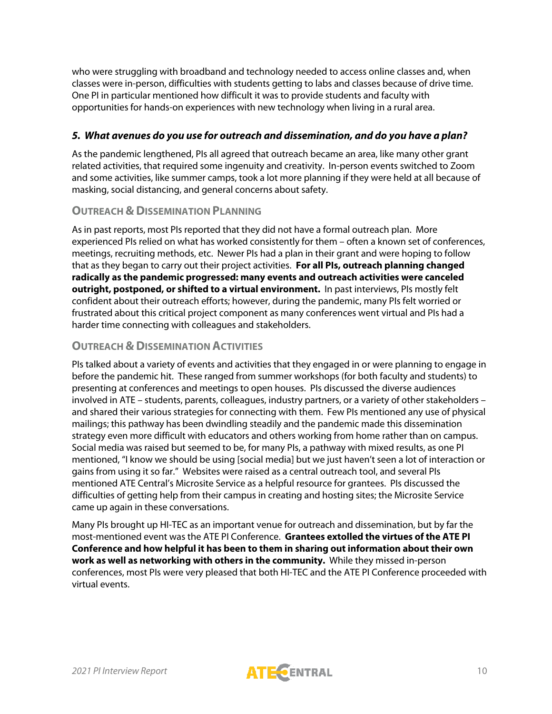who were struggling with broadband and technology needed to access online classes and, when classes were in-person, difficulties with students getting to labs and classes because of drive time. One PI in particular mentioned how difficult it was to provide students and faculty with opportunities for hands-on experiences with new technology when living in a rural area.

## *5. What avenues do you use for outreach and dissemination, and do you have a plan?*

As the pandemic lengthened, PIs all agreed that outreach became an area, like many other grant related activities, that required some ingenuity and creativity. In-person events switched to Zoom and some activities, like summer camps, took a lot more planning if they were held at all because of masking, social distancing, and general concerns about safety.

## **OUTREACH & DISSEMINATION PLANNING**

As in past reports, most PIs reported that they did not have a formal outreach plan. More experienced PIs relied on what has worked consistently for them – often a known set of conferences, meetings, recruiting methods, etc. Newer PIs had a plan in their grant and were hoping to follow that as they began to carry out their project activities. **For all PIs, outreach planning changed radically as the pandemic progressed: many events and outreach activities were canceled outright, postponed, or shifted to a virtual environment.** In past interviews, PIs mostly felt confident about their outreach efforts; however, during the pandemic, many PIs felt worried or frustrated about this critical project component as many conferences went virtual and PIs had a harder time connecting with colleagues and stakeholders.

## **OUTREACH & DISSEMINATION ACTIVITIES**

PIs talked about a variety of events and activities that they engaged in or were planning to engage in before the pandemic hit. These ranged from summer workshops (for both faculty and students) to presenting at conferences and meetings to open houses. PIs discussed the diverse audiences involved in ATE – students, parents, colleagues, industry partners, or a variety of other stakeholders – and shared their various strategies for connecting with them. Few PIs mentioned any use of physical mailings; this pathway has been dwindling steadily and the pandemic made this dissemination strategy even more difficult with educators and others working from home rather than on campus. Social media was raised but seemed to be, for many PIs, a pathway with mixed results, as one PI mentioned, "I know we should be using [social media] but we just haven't seen a lot of interaction or gains from using it so far." Websites were raised as a central outreach tool, and several PIs mentioned ATE Central's Microsite Service as a helpful resource for grantees. PIs discussed the difficulties of getting help from their campus in creating and hosting sites; the Microsite Service came up again in these conversations.

Many PIs brought up HI-TEC as an important venue for outreach and dissemination, but by far the most-mentioned event was the ATE PI Conference. **Grantees extolled the virtues of the ATE PI Conference and how helpful it has been to them in sharing out information about their own work as well as networking with others in the community.** While they missed in-person conferences, most PIs were very pleased that both HI-TEC and the ATE PI Conference proceeded with virtual events.

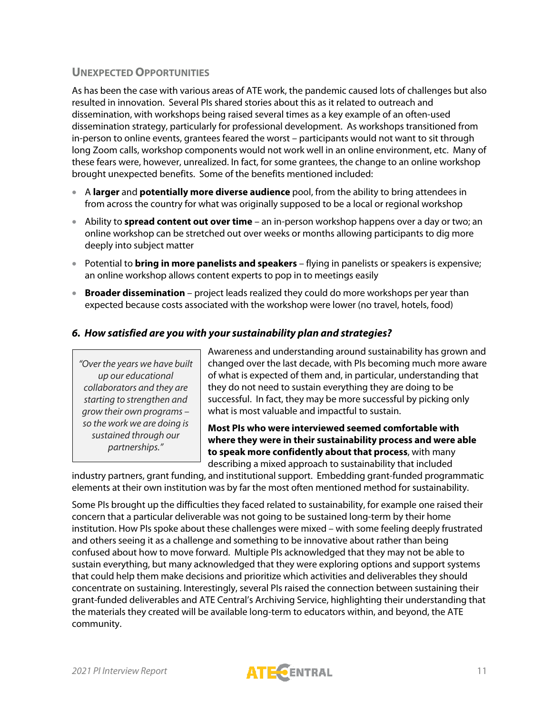## **UNEXPECTED OPPORTUNITIES**

As has been the case with various areas of ATE work, the pandemic caused lots of challenges but also resulted in innovation. Several PIs shared stories about this as it related to outreach and dissemination, with workshops being raised several times as a key example of an often-used dissemination strategy, particularly for professional development. As workshops transitioned from in-person to online events, grantees feared the worst – participants would not want to sit through long Zoom calls, workshop components would not work well in an online environment, etc. Many of these fears were, however, unrealized. In fact, for some grantees, the change to an online workshop brought unexpected benefits. Some of the benefits mentioned included:

- A **larger** and **potentially more diverse audience** pool, from the ability to bring attendees in from across the country for what was originally supposed to be a local or regional workshop
- Ability to **spread content out over time** an in-person workshop happens over a day or two; an online workshop can be stretched out over weeks or months allowing participants to dig more deeply into subject matter
- Potential to **bring in more panelists and speakers** flying in panelists or speakers is expensive; an online workshop allows content experts to pop in to meetings easily
- **Broader dissemination** project leads realized they could do more workshops per year than expected because costs associated with the workshop were lower (no travel, hotels, food)

## *6. How satisfied are you with your sustainability plan and strategies?*

*"Over the years we have built up our educational collaborators and they are starting to strengthen and grow their own programs – so the work we are doing is sustained through our partnerships."*

Awareness and understanding around sustainability has grown and changed over the last decade, with PIs becoming much more aware of what is expected of them and, in particular, understanding that they do not need to sustain everything they are doing to be successful. In fact, they may be more successful by picking only what is most valuable and impactful to sustain.

**Most PIs who were interviewed seemed comfortable with where they were in their sustainability process and were able to speak more confidently about that process**, with many

describing a mixed approach to sustainability that included

industry partners, grant funding, and institutional support. Embedding grant-funded programmatic elements at their own institution was by far the most often mentioned method for sustainability.

Some PIs brought up the difficulties they faced related to sustainability, for example one raised their concern that a particular deliverable was not going to be sustained long-term by their home institution. How PIs spoke about these challenges were mixed – with some feeling deeply frustrated and others seeing it as a challenge and something to be innovative about rather than being confused about how to move forward. Multiple PIs acknowledged that they may not be able to sustain everything, but many acknowledged that they were exploring options and support systems that could help them make decisions and prioritize which activities and deliverables they should concentrate on sustaining. Interestingly, several PIs raised the connection between sustaining their grant-funded deliverables and ATE Central's Archiving Service, highlighting their understanding that the materials they created will be available long-term to educators within, and beyond, the ATE community.

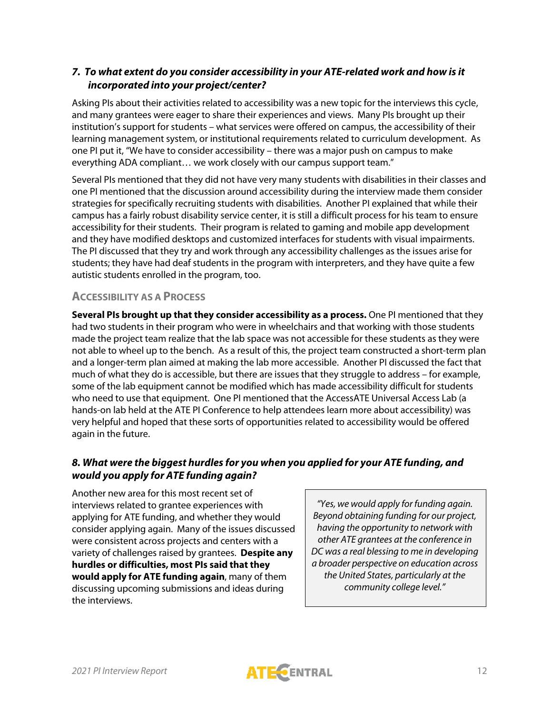## *7. To what extent do you consider accessibility in your ATE-related work and how is it incorporated into your project/center?*

Asking PIs about their activities related to accessibility was a new topic for the interviews this cycle, and many grantees were eager to share their experiences and views. Many PIs brought up their institution's support for students – what services were offered on campus, the accessibility of their learning management system, or institutional requirements related to curriculum development. As one PI put it, "We have to consider accessibility – there was a major push on campus to make everything ADA compliant… we work closely with our campus support team."

Several PIs mentioned that they did not have very many students with disabilities in their classes and one PI mentioned that the discussion around accessibility during the interview made them consider strategies for specifically recruiting students with disabilities. Another PI explained that while their campus has a fairly robust disability service center, it is still a difficult process for his team to ensure accessibility for their students. Their program is related to gaming and mobile app development and they have modified desktops and customized interfaces for students with visual impairments. The PI discussed that they try and work through any accessibility challenges as the issues arise for students; they have had deaf students in the program with interpreters, and they have quite a few autistic students enrolled in the program, too.

## **ACCESSIBILITY AS A PROCESS**

**Several PIs brought up that they consider accessibility as a process.** One PI mentioned that they had two students in their program who were in wheelchairs and that working with those students made the project team realize that the lab space was not accessible for these students as they were not able to wheel up to the bench. As a result of this, the project team constructed a short-term plan and a longer-term plan aimed at making the lab more accessible. Another PI discussed the fact that much of what they do is accessible, but there are issues that they struggle to address – for example, some of the lab equipment cannot be modified which has made accessibility difficult for students who need to use that equipment. One PI mentioned that the AccessATE Universal Access Lab (a hands-on lab held at the ATE PI Conference to help attendees learn more about accessibility) was very helpful and hoped that these sorts of opportunities related to accessibility would be offered again in the future.

## *8. What were the biggest hurdles for you when you applied for your ATE funding, and would you apply for ATE funding again?*

Another new area for this most recent set of interviews related to grantee experiences with applying for ATE funding, and whether they would consider applying again. Many of the issues discussed were consistent across projects and centers with a variety of challenges raised by grantees. **Despite any hurdles or difficulties, most PIs said that they would apply for ATE funding again**, many of them discussing upcoming submissions and ideas during the interviews.

*"Yes, we would apply for funding again. Beyond obtaining funding for our project, having the opportunity to network with other ATE grantees at the conference in DC was a real blessing to me in developing a broader perspective on education across the United States, particularly at the community college level."*

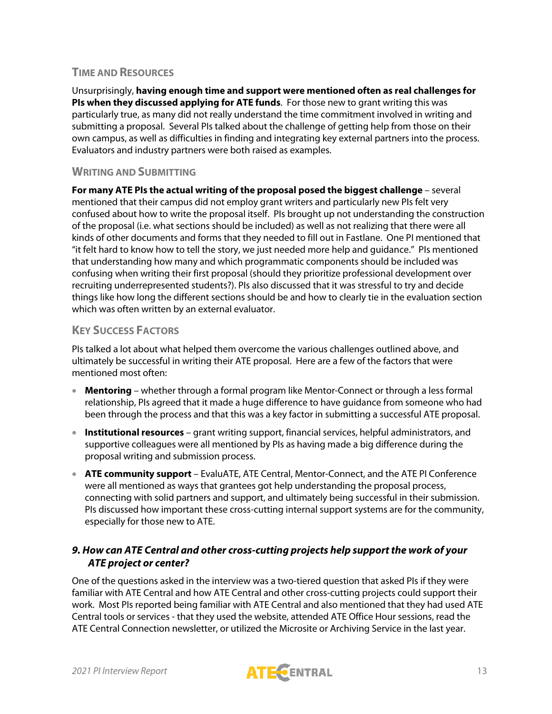#### **TIME AND RESOURCES**

Unsurprisingly, **having enough time and support were mentioned often as real challenges for PIs when they discussed applying for ATE funds**. For those new to grant writing this was particularly true, as many did not really understand the time commitment involved in writing and submitting a proposal. Several PIs talked about the challenge of getting help from those on their own campus, as well as difficulties in finding and integrating key external partners into the process. Evaluators and industry partners were both raised as examples.

#### **WRITING AND SUBMITTING**

**For many ATE PIs the actual writing of the proposal posed the biggest challenge** – several mentioned that their campus did not employ grant writers and particularly new PIs felt very confused about how to write the proposal itself. PIs brought up not understanding the construction of the proposal (i.e. what sections should be included) as well as not realizing that there were all kinds of other documents and forms that they needed to fill out in Fastlane. One PI mentioned that "it felt hard to know how to tell the story, we just needed more help and guidance." PIs mentioned that understanding how many and which programmatic components should be included was confusing when writing their first proposal (should they prioritize professional development over recruiting underrepresented students?). PIs also discussed that it was stressful to try and decide things like how long the different sections should be and how to clearly tie in the evaluation section which was often written by an external evaluator.

## **KEY SUCCESS FACTORS**

PIs talked a lot about what helped them overcome the various challenges outlined above, and ultimately be successful in writing their ATE proposal. Here are a few of the factors that were mentioned most often:

- **Mentoring** whether through a formal program like Mentor-Connect or through a less formal relationship, PIs agreed that it made a huge difference to have guidance from someone who had been through the process and that this was a key factor in submitting a successful ATE proposal.
- **Institutional resources** grant writing support, financial services, helpful administrators, and supportive colleagues were all mentioned by PIs as having made a big difference during the proposal writing and submission process.
- **ATE community support** EvaluATE, ATE Central, Mentor-Connect, and the ATE PI Conference were all mentioned as ways that grantees got help understanding the proposal process, connecting with solid partners and support, and ultimately being successful in their submission. PIs discussed how important these cross-cutting internal support systems are for the community, especially for those new to ATE.

## *9. How can ATE Central and other cross-cutting projects help support the work of your ATE project or center?*

One of the questions asked in the interview was a two-tiered question that asked PIs if they were familiar with ATE Central and how ATE Central and other cross-cutting projects could support their work. Most PIs reported being familiar with ATE Central and also mentioned that they had used ATE Central tools or services - that they used the website, attended ATE Office Hour sessions, read the ATE Central Connection newsletter, or utilized the Microsite or Archiving Service in the last year.

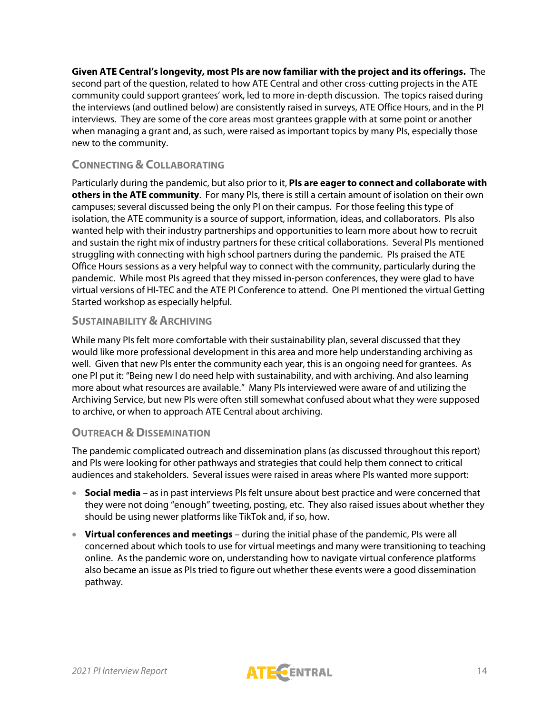**Given ATE Central's longevity, most PIs are now familiar with the project and its offerings.** The second part of the question, related to how ATE Central and other cross-cutting projects in the ATE community could support grantees' work, led to more in-depth discussion. The topics raised during the interviews (and outlined below) are consistently raised in surveys, ATE Office Hours, and in the PI interviews. They are some of the core areas most grantees grapple with at some point or another when managing a grant and, as such, were raised as important topics by many PIs, especially those new to the community.

## **CONNECTING & COLLABORATING**

Particularly during the pandemic, but also prior to it, **PIs are eager to connect and collaborate with others in the ATE community**. For many PIs, there is still a certain amount of isolation on their own campuses; several discussed being the only PI on their campus. For those feeling this type of isolation, the ATE community is a source of support, information, ideas, and collaborators. PIs also wanted help with their industry partnerships and opportunities to learn more about how to recruit and sustain the right mix of industry partners for these critical collaborations. Several PIs mentioned struggling with connecting with high school partners during the pandemic. PIs praised the ATE Office Hours sessions as a very helpful way to connect with the community, particularly during the pandemic. While most PIs agreed that they missed in-person conferences, they were glad to have virtual versions of HI-TEC and the ATE PI Conference to attend. One PI mentioned the virtual Getting Started workshop as especially helpful.

#### **SUSTAINABILITY & ARCHIVING**

While many PIs felt more comfortable with their sustainability plan, several discussed that they would like more professional development in this area and more help understanding archiving as well. Given that new PIs enter the community each year, this is an ongoing need for grantees. As one PI put it: "Being new I do need help with sustainability, and with archiving. And also learning more about what resources are available." Many PIs interviewed were aware of and utilizing the Archiving Service, but new PIs were often still somewhat confused about what they were supposed to archive, or when to approach ATE Central about archiving.

## **OUTREACH & DISSEMINATION**

The pandemic complicated outreach and dissemination plans (as discussed throughout this report) and PIs were looking for other pathways and strategies that could help them connect to critical audiences and stakeholders. Several issues were raised in areas where PIs wanted more support:

- **Social media** as in past interviews PIs felt unsure about best practice and were concerned that they were not doing "enough" tweeting, posting, etc. They also raised issues about whether they should be using newer platforms like TikTok and, if so, how.
- **Virtual conferences and meetings** during the initial phase of the pandemic, PIs were all concerned about which tools to use for virtual meetings and many were transitioning to teaching online. As the pandemic wore on, understanding how to navigate virtual conference platforms also became an issue as PIs tried to figure out whether these events were a good dissemination pathway.

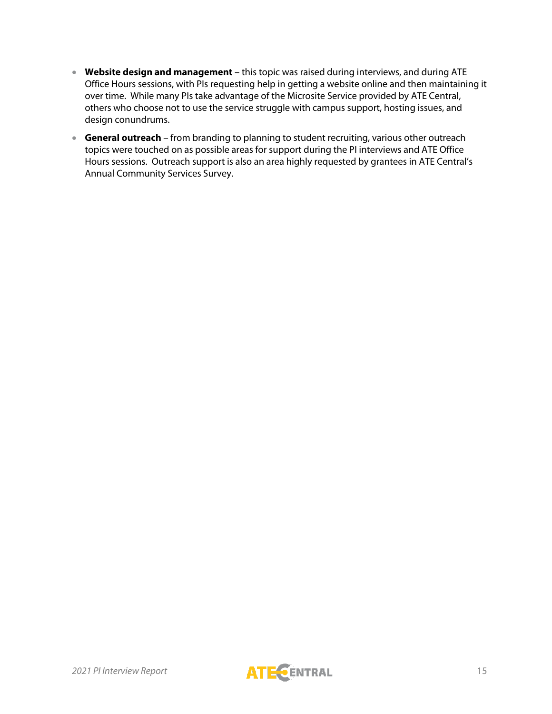- **Website design and management** this topic was raised during interviews, and during ATE Office Hours sessions, with PIs requesting help in getting a website online and then maintaining it over time. While many PIs take advantage of the Microsite Service provided by ATE Central, others who choose not to use the service struggle with campus support, hosting issues, and design conundrums.
- **General outreach** from branding to planning to student recruiting, various other outreach topics were touched on as possible areas for support during the PI interviews and ATE Office Hours sessions. Outreach support is also an area highly requested by grantees in ATE Central's Annual Community Services Survey.

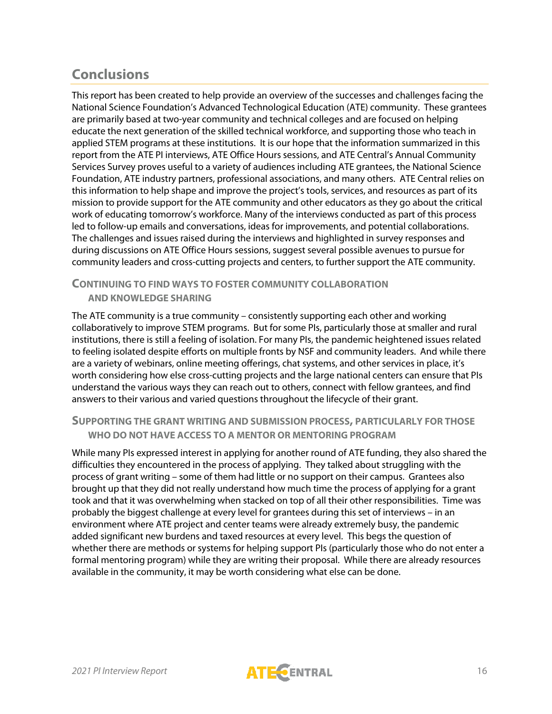# **Conclusions**

This report has been created to help provide an overview of the successes and challenges facing the National Science Foundation's Advanced Technological Education (ATE) community. These grantees are primarily based at two-year community and technical colleges and are focused on helping educate the next generation of the skilled technical workforce, and supporting those who teach in applied STEM programs at these institutions. It is our hope that the information summarized in this report from the ATE PI interviews, ATE Office Hours sessions, and ATE Central's Annual Community Services Survey proves useful to a variety of audiences including ATE grantees, the National Science Foundation, ATE industry partners, professional associations, and many others. ATE Central relies on this information to help shape and improve the project's tools, services, and resources as part of its mission to provide support for the ATE community and other educators as they go about the critical work of educating tomorrow's workforce. Many of the interviews conducted as part of this process led to follow-up emails and conversations, ideas for improvements, and potential collaborations. The challenges and issues raised during the interviews and highlighted in survey responses and during discussions on ATE Office Hours sessions, suggest several possible avenues to pursue for community leaders and cross-cutting projects and centers, to further support the ATE community.

## **CONTINUING TO FIND WAYS TO FOSTER COMMUNITY COLLABORATION AND KNOWLEDGE SHARING**

The ATE community is a true community – consistently supporting each other and working collaboratively to improve STEM programs. But for some PIs, particularly those at smaller and rural institutions, there is still a feeling of isolation. For many PIs, the pandemic heightened issues related to feeling isolated despite efforts on multiple fronts by NSF and community leaders. And while there are a variety of webinars, online meeting offerings, chat systems, and other services in place, it's worth considering how else cross-cutting projects and the large national centers can ensure that PIs understand the various ways they can reach out to others, connect with fellow grantees, and find answers to their various and varied questions throughout the lifecycle of their grant.

## **SUPPORTING THE GRANT WRITING AND SUBMISSION PROCESS, PARTICULARLY FOR THOSE WHO DO NOT HAVE ACCESS TO A MENTOR OR MENTORING PROGRAM**

While many PIs expressed interest in applying for another round of ATE funding, they also shared the difficulties they encountered in the process of applying. They talked about struggling with the process of grant writing – some of them had little or no support on their campus. Grantees also brought up that they did not really understand how much time the process of applying for a grant took and that it was overwhelming when stacked on top of all their other responsibilities. Time was probably the biggest challenge at every level for grantees during this set of interviews – in an environment where ATE project and center teams were already extremely busy, the pandemic added significant new burdens and taxed resources at every level. This begs the question of whether there are methods or systems for helping support PIs (particularly those who do not enter a formal mentoring program) while they are writing their proposal. While there are already resources available in the community, it may be worth considering what else can be done.